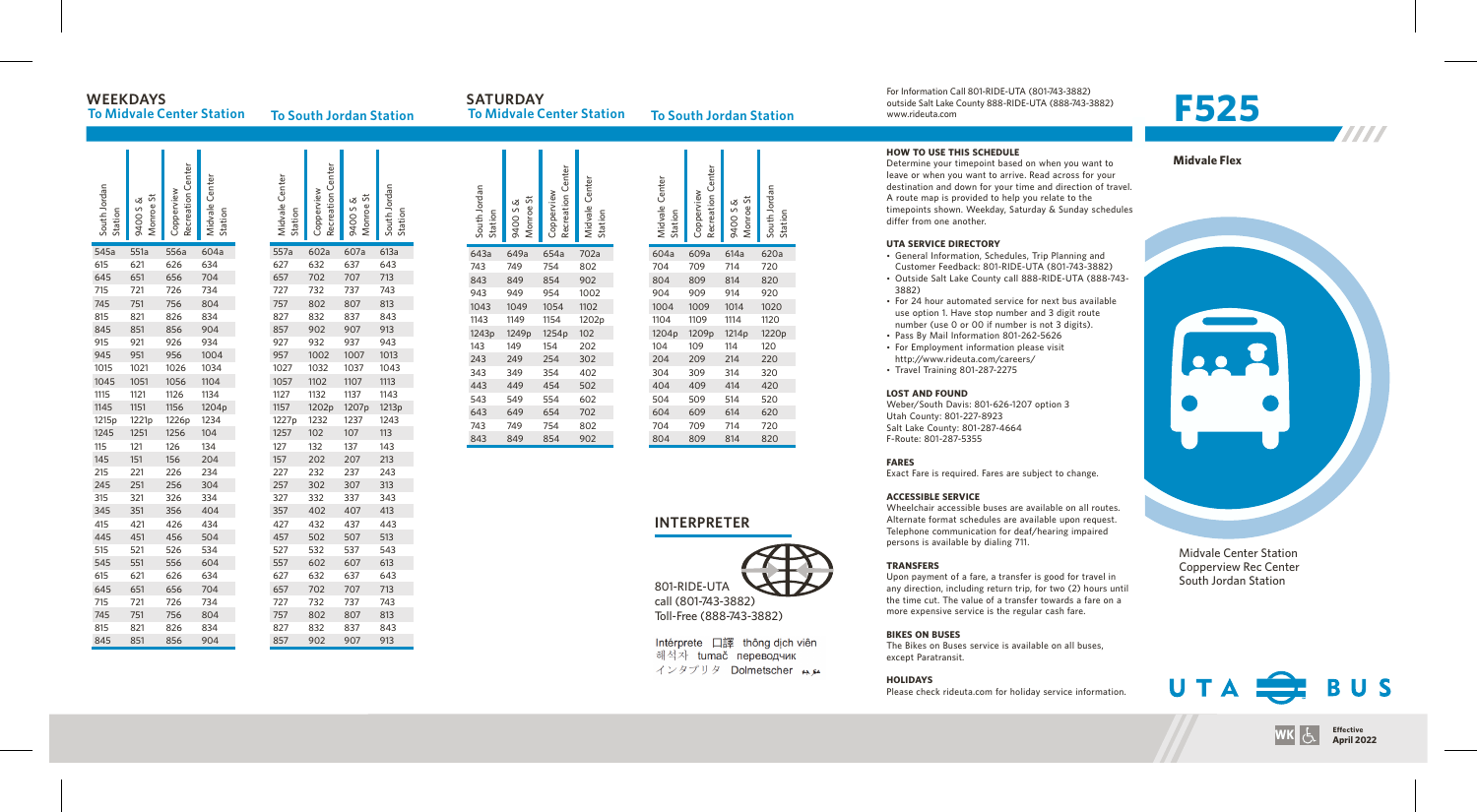# **W E E K D AY S**

**To Midvale Center Station** 

**To South Jordan Station** 

South Jordan South.<br>Station

643a

1243<sub>p</sub>

34

44

54

SATURDAY **To Midvale Center Station To South Jordan Station** 

For Information Call 801-RIDE-UTA (801-743-3882) outside Salt Lake County 888-RIDE-UTA (888-743-3882) www.rideuta. com

# **F 5 2 5**

| South Jordan<br>Station | Monroe St<br>9400 S & | Recreation Center<br>Copperview | Midvale Center<br>Station | Midvale Center<br>Station | Recreation Center<br>Copperview | Monroe St<br>9400 S & | South Jordan<br>Station |
|-------------------------|-----------------------|---------------------------------|---------------------------|---------------------------|---------------------------------|-----------------------|-------------------------|
| 545a                    | 551a                  | 556a                            | 604a                      | 557a                      | 602a                            | 607a                  | 613a                    |
| 615                     | 621                   | 626                             | 634                       | 627                       | 632                             | 637                   | 643                     |
| 645                     | 651                   | 656                             | 704                       | 657                       | 702                             | 707                   | 713                     |
| 715                     | 721                   | 726                             | 734                       | 727                       | 732                             | 737                   | 743                     |
| 745                     | 751                   | 756                             | 804                       | 757                       | 802                             | 807                   | 813                     |
| 815                     | 821                   | 826                             | 834                       | 827                       | 832                             | 837                   | 843                     |
| 845                     | 851                   | 856                             | 904                       | 857                       | 902                             | 907                   | 913                     |
| 915                     | 921                   | 926                             | 934                       | 927                       | 932                             | 937                   | 943                     |
| 945                     | 951                   | 956                             | 1004                      | 957                       | 1002                            | 1007                  | 1013                    |
| 1015                    | 1021                  | 1026                            | 1034                      | 1027                      | 1032                            | 1037                  | 1043                    |
| 1045                    | 1051                  | 1056                            | 1104                      | 1057                      | 1102                            | 1107                  | 1113                    |
| 1115                    | 1121                  | 1126                            | 1134                      | 1127                      | 1132                            | 1137                  | 1143                    |
| 1145                    | 1151                  | 1156                            | 1204p                     | 1157                      | 1202p                           | 1207p                 | 1213p                   |
| 1215p                   | 1221p                 | 1226p                           | 1234                      | 1227p                     | 1232                            | 1237                  | 1243                    |
| 1245                    | 1251                  | 1256                            | 104                       | 1257                      | 102                             | 107                   | 113                     |
| 115                     | 121                   | 126                             | 134                       | 127                       | 132                             | 137                   | 143                     |
| 145                     | 151                   | 156                             | 204                       | 157                       | 202                             | 207                   | 213                     |
| 215                     | 221                   | 226                             | 234                       | 227                       | 232                             | 237                   | 243                     |
| 245                     | 251                   | 256                             | 304                       | 257                       | 302                             | 307                   | 313                     |
| 315                     | 321                   | 326                             | 334                       | 327                       | 332                             | 337                   | 343                     |
| 345                     | 351                   | 356                             | 404                       | 357                       | 402                             | 407                   | 413                     |
| 415                     | 421                   | 426                             | 434                       | 427                       | 432                             | 437                   | 443                     |
| 445                     | 451                   | 456                             | 504                       | 457                       | 502                             | 507                   | 513                     |
| 515                     | 521                   | 526                             | 534                       | 527                       | 532                             | 537                   | 543                     |
| 545                     | 551                   | 556                             | 604                       | 557                       | 602                             | 607                   | 613                     |
| 615                     | 621                   | 626                             | 634                       | 627                       | 632                             | 637                   | 643                     |
| 645                     | 651                   | 656                             | 704                       | 657                       | 702                             | 707                   | 713                     |
| 715                     | 721                   | 726                             | 734                       | 727                       | 732                             | 737                   | 743                     |
| 745                     | 751                   | 756                             | 804                       | 757                       | 802                             | 807                   | 813                     |
| 815                     | 821                   | 826                             | 834                       | 827                       | 832                             | 837                   | 843                     |
| 845                     | 851                   | 856                             | 904                       | 857                       | 902                             | 907                   | 913                     |

| Monroe St<br>9400 S & | Recreation Center<br>Copperview | Midvale Center<br>Station | Midvale Center<br>Station | Recreation Center<br>Copperview | Monroe St<br>9400 S & | South Jordan<br>Station |
|-----------------------|---------------------------------|---------------------------|---------------------------|---------------------------------|-----------------------|-------------------------|
| 649a                  | 654a                            | 702a                      | 604a                      | 609a                            | 614a                  | 620a                    |
| 749                   | 754                             | 802                       | 704                       | 709                             | 714                   | 720                     |
| 849                   | 854                             | 902                       | 804                       | 809                             | 814                   | 820                     |
| 949                   | 954                             | 1002                      | 904                       | 909                             | 914                   | 920                     |
| 1049                  | 1054                            | 1102                      | 1004                      | 1009                            | 1014                  | 1020                    |
| 1149                  | 1154                            | 1202p                     | 1104                      | 1109                            | 1114                  | 1120                    |
| 1249p                 | 1254p                           | 102                       | 1204p                     | 1209p                           | 1214 <sub>p</sub>     | 1220p                   |
| 149                   | 154                             | 202                       | 104                       | 109                             | 114                   | 120                     |
| 249                   | 254                             | 302                       | 204                       | 209                             | 214                   | 220                     |
| 349                   | 354                             | 402                       | 304                       | 309                             | 314                   | 320                     |
| 449                   | 454                             | 502                       | 404                       | 409                             | 414                   | 420                     |
| 549                   | 554                             | 602                       | 504                       | 509                             | 514                   | 520                     |
| 649                   | 654                             | 702                       | 604                       | 609                             | 614                   | 620                     |
| 749                   | 754                             | 802                       | 704                       | 709                             | 714                   | 720                     |
| 849                   | 854                             | 902                       | 804                       | 809                             | 814                   | 820                     |

## **INTERPRETER**



Toll-F ree (888-743-3882)

Intérprete 口譯 thông dịch viên 해석자 tumač переводчик インタプリタ Dolmetscher メル

#### **HOW TO USE THIS SCHEDULE**

Determine your timepoint based on when you want leave or when you want to arrive. Read across for your<br>destination and down for your time and direction of travel. A route map is provided to help you relate to the timepoints shown. Weekday, Saturday & Sunday schedules differ from one another.

#### **UTA SERVICE DIRECTO RY**

- General Information, Schedules, Trip Planning and Customer Feedback: 801-RIDE-UTA (801-743-3882)
- Outside Salt Lake County call 888-RIDE-UTA (888-743-8 8 2 )
- For 24 hour automated service for next bus available use option 1. Have stop number and 3 digit route number (use 0 or 00 if number is not 3 digits).
- Pass By Mail Information 801-262-5626<br>• For Employment information please visit
- http://www.rideuta.com/careers/ • Travel Training 801-287-2275

#### **LOST AND FOUND**

Weber/South Davis: 801-626-1207 option 3 Utah County: 801-227-8923 Salt Lake County: 801-287-4664 F-Route: 801-287-5355

## **FARES**

Exact Fare is required. Fares are subject to change.

## **ACCESSIBLE SERVICE**

Wheelchair accessible buses are available on all routes. Alternate format schedules are available upon request. Telephone communication for deaf/hearing impaired persons is available by dialing 711.

#### **TRANSFERS**

Upon payment of a fare, a transfer is good for travel in<br>any direction, including return trip, for two (2) hours until the time cut. The value of a transfer towards a fare on a more expensive service is the regular cash fare.

## **BIKES ON BUSES**

The Bikes on Buses service is available on all buses, except Paratransit.

## **HOLIDAYS**

Please check rideuta.com for holiday service informatio





Midvale Center Station Copperview Rec Center South Jordan Station



**ivk** કે

**E f f e c t**

April 2022